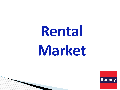# **Rental Market**

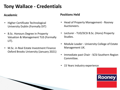### **Tony Wallace - Credentials**

#### **Academic**

- Higher Certificate Technological University Dublin (Formally DIT)
- B.Sc. Honours Degree in Property Valuation & Management TUS (Formally LIT).
- M.Sc. in Real Estate Investment Finance Oxford Brooks University (January 2021)

#### **Positions Held**

- Head of Property Management Rooney Auctioneers.
- Lecturer TUD/SCSI B.Sc. (Hons) Property Studies.
- Module Leader University College of Estate Management UK.
- Immediate past Chair SCSI Southern Region Committee.
- 15 Years industry experience

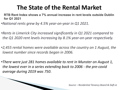# **The State of the Rental Market**

- **RTB Rent Index shows a 7% annual increase in rent levels outside Dublin for Q1 2021**
- *•National rents grew by 4.5% year-on-year in Q1 2021.*

**The Common Street, 1980** 

- *•Rents in Limerick City increased significantly in Q1 2021 compared to the Q1 2020 rent levels increasing by 8.1% year-on-year respectively.*
- *•2,455 rental homes were available across the country on 1 August, the lowest number since records began in 2006.*
- *•There were just 281 homes available to rent in Munster on August 1, the lowest ever in a series extending back to 2006 - the pre-covid average during 2019 was 750*.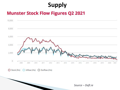# **Supply**

#### **Munster Stock Flow Figures Q2 2021**



○ Stock (lhs) ○ Inflow (rhs) ○ Outflow (rhs)

Source - Daft.ie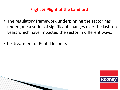#### **Flight & Plight of the Landlord**!

- The regulatory framework underpinning the sector has undergone a series of significant changes over the last ten years which have impacted the sector in different ways.
- Tax treatment of Rental Income.

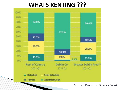## **WHATS RENTING ???**



*Source – Residential Tenancy Board*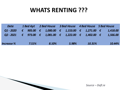# **WHATS RENTING ???**

| Date                                                                                             |  |       | 1 Bed Apt 2 Bed House 3 Bed House 4 Bed House 5 Bed House |       |  |       |  |        |  |          |
|--------------------------------------------------------------------------------------------------|--|-------|-----------------------------------------------------------|-------|--|-------|--|--------|--|----------|
| Q1-2020 $\epsilon$ 905.00 $\epsilon$ 1,000.00 $\epsilon$ 1,153.00 $\epsilon$ 1,271.00 $\epsilon$ |  |       |                                                           |       |  |       |  |        |  | 1,418.00 |
| Q2-2021 $\epsilon$ 973.00 $\epsilon$ 1,081.00 $\epsilon$ 1,222.00 $\epsilon$ 1,402.00 $\epsilon$ |  |       |                                                           |       |  |       |  |        |  | 1,566.00 |
| <b>Increase %</b>                                                                                |  | 7.51% |                                                           | 8.10% |  | 5.98% |  | 10.31% |  | 10.44%   |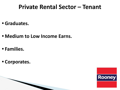# **Private Rental Sector – Tenant**

- **• Graduates.**
- **• Medium to Low Income Earns.**
- **• Families.**
- **• Corporates.**

**MARTING COMMENT**